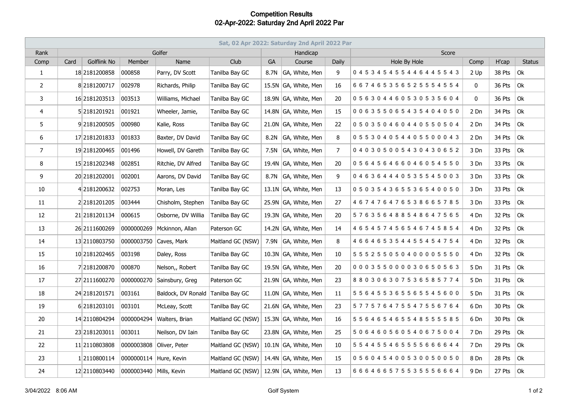## **Competition Results 02-Apr-2022: Saturday 2nd April 2022 Par**

| Sat, 02 Apr 2022: Saturday 2nd April 2022 Par |      |                    |                         |                    |                                        |           |                      |       |                                     |             |        |                           |
|-----------------------------------------------|------|--------------------|-------------------------|--------------------|----------------------------------------|-----------|----------------------|-------|-------------------------------------|-------------|--------|---------------------------|
| Rank                                          |      | Golfer             |                         |                    |                                        |           | Handicap             |       | Score                               |             |        |                           |
| Comp                                          | Card | <b>Golflink No</b> | Member                  | Name               | Club                                   | <b>GA</b> | Course               | Daily | Hole By Hole                        | Comp        | H'cap  | <b>Status</b>             |
| $\mathbf{1}$                                  |      | 18 2181200858      | 000858                  | Parry, DV Scott    | Tanilba Bay GC                         | 8.7N      | GA, White, Men       | 9     | 045345455446445543                  | 2 Up        | 38 Pts | Ok                        |
| $\overline{2}$                                |      | 8 2181200717       | 002978                  | Richards, Philip   | Tanilba Bay GC                         |           | 15.5N GA, White, Men | 16    | 6 6 7 4 6 5 3 5 6 5 2 5 5 5 4 5 5 4 | 0           | 36 Pts | Ok                        |
| 3                                             |      | 16 2181203513      | 003513                  | Williams, Michael  | Tanilba Bay GC                         |           | 18.9N GA, White, Men | 20    | 056304460530535604                  | $\mathbf 0$ | 36 Pts | Ok                        |
| 4                                             |      | 5 2181201921       | 001921                  | Wheeler, Jamie,    | Tanilba Bay GC                         |           | 14.8N GA, White, Men | 15    | 006355065435404050                  | 2 Dn        | 34 Pts | Ok                        |
| 5                                             |      | 92181200505        | 000980                  | Kalie, Ross        | Tanilba Bay GC                         |           | 21.0N GA, White, Men | 22    | 050350460440550504                  | 2 Dn        | 34 Pts | Ok                        |
| 6                                             |      | 17 2181201833      | 001833                  | Baxter, DV David   | Tanilba Bay GC                         |           | 8.2N GA, White, Men  | 8     | 055304054405500043                  | 2 Dn        | 34 Pts | Ok                        |
| $\overline{7}$                                |      | 19 2181200465      | 001496                  | Howell, DV Gareth  | Tanilba Bay GC                         |           | 7.5N GA, White, Men  | 7     | 040305005430430652                  | 3 Dn        | 33 Pts | Ok                        |
| 8                                             |      | 15 2181202348      | 002851                  | Ritchie, DV Alfred | Tanilba Bay GC                         |           | 19.4N GA, White, Men | 20    | 056456466046054550                  | 3 Dn        | 33 Pts | Ok                        |
| 9                                             |      | 20 2181202001      | 002001                  | Aarons, DV David   | Tanilba Bay GC                         |           | 8.7N GA, White, Men  | 9     | 046364440535545003                  | 3 Dn        | 33 Pts | Ok                        |
| 10                                            |      | 42181200632        | 002753                  | Moran, Les         | Tanilba Bay GC                         |           | 13.1N GA, White, Men | 13    | 050354365536540050                  | 3 Dn        | 33 Pts | Ok                        |
| 11                                            |      | 22181201205        | 003444                  | Chisholm, Stephen  | Tanilba Bay GC                         |           | 25.9N GA, White, Men | 27    | 467476476538665785                  | 3 Dn        | 33 Pts | Ok                        |
| 12                                            |      | 21 2181201134      | 000615                  | Osborne, DV Willia | Tanilba Bay GC                         |           | 19.3N GA, White, Men | 20    | 576356488548647565                  | 4 Dn        | 32 Pts | Ok                        |
| 13                                            |      | 26 2111600269      | 0000000269              | Mckinnon, Allan    | Paterson GC                            |           | 14.2N GA, White, Men | 14    | 4 6 5 4 5 7 4 5 6 5 4 6 7 4 5 8 5 4 | 4 Dn        | 32 Pts | $\alpha$                  |
| 14                                            |      | 13 2110803750      | 0000003750              | Caves, Mark        | Maitland GC (NSW)                      |           | 7.9N GA, White, Men  | 8     | 4 6 6 4 6 5 3 5 4 4 5 5 4 5 4 7 5 4 | 4 Dn        | 32 Pts | Ok                        |
| 15                                            |      | 10 2181202465      | 003198                  | Daley, Ross        | Tanilba Bay GC                         |           | 10.3N GA, White, Men | 10    | 5 5 5 2 5 5 0 5 0 4 0 0 0 0 5 5 5 0 | 4 Dn        | 32 Pts | Ok                        |
| 16                                            |      | 7 2181200870       | 000870                  | Nelson,, Robert    | Tanilba Bay GC                         |           | 19.5N GA, White, Men | 20    | 000355000030650563                  | 5 Dn        | 31 Pts | Ok                        |
| 17                                            |      | 27 2111600270      | 0000000270              | Sainsbury, Greg    | Paterson GC                            |           | 21.9N GA, White, Men | 23    | 880306307536585774                  | 5 Dn        | 31 Pts | Ok                        |
| 18                                            |      | 24 2181201571      | 003161                  | Baldock, DV Ronald | Tanilba Bay GC                         |           | 11.0N GA, White, Men | 11    | 5 5 6 4 5 5 3 6 5 5 6 5 5 4 5 6 0 0 | 5 Dn        | 31 Pts | Ok                        |
| 19                                            |      | 6 2181203101       | 003101                  | McLeay, Scott      | Tanilba Bay GC                         |           | 21.6N GA, White, Men | 23    | 5 7 7 5 7 6 4 7 5 5 4 7 5 5 6 7 6 4 | 6 Dn        | 30 Pts | Ok                        |
| 20                                            |      | 14 2110804294      | 0000004294              | Walters, Brian     | Maitland GC (NSW)                      |           | 15.3N GA, White, Men | 16    | 5 5 6 4 6 5 4 6 5 5 4 8 5 5 5 5 8 5 | 6 Dn        | 30 Pts | Ok                        |
| 21                                            |      | 23 2181203011      | 003011                  | Neilson, DV Iain   | Tanilba Bay GC                         |           | 23.8N GA, White, Men | 25    | 506460560540675004                  | 7 Dn        | 29 Pts | Ok                        |
| 22                                            |      | 11 2110803808      | 0000003808              | Oliver, Peter      | Maitland GC (NSW)                      |           | 10.1N GA, White, Men | 10    | 5 5 4 4 5 5 4 6 5 5 5 5 6 6 6 6 4 4 | 7 Dn        | 29 Pts | Ok                        |
| 23                                            |      | 12110800114        | 0000000114 Hure, Kevin  |                    | Maitland GC (NSW)                      |           | 14.4N GA, White, Men | 15    | 056045400530050050                  | 8 Dn        | 28 Pts | Ok                        |
| 24                                            |      | 12 2110803440      | 0000003440 Mills, Kevin |                    | Maitland GC (NSW) 12.9N GA, White, Men |           |                      | 13    | 666466575535556664                  | 9 Dn        | 27 Pts | $\overline{\mathsf{O}}$ k |